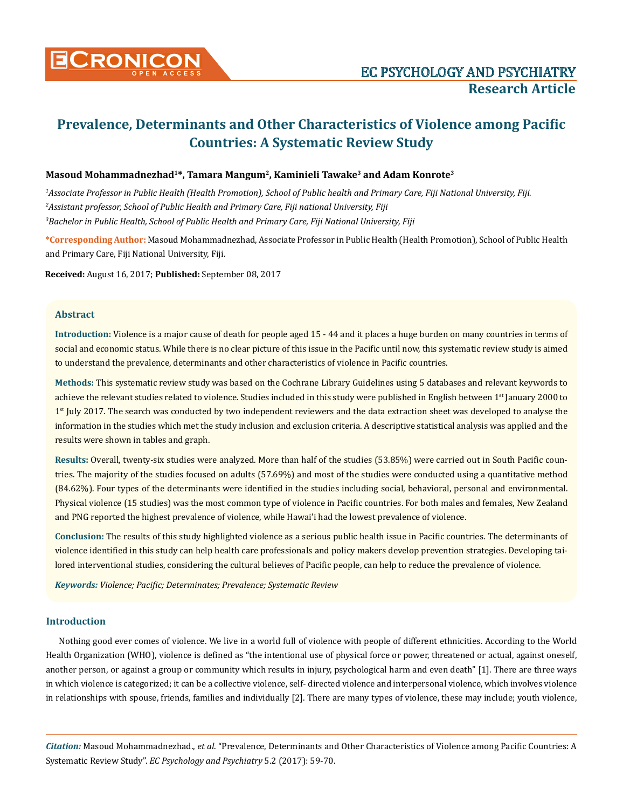

# **Masoud Mohammadnezhad1\*, Tamara Mangum2, Kaminieli Tawake3 and Adam Konrote3**

*1 Associate Professor in Public Health (Health Promotion), School of Public health and Primary Care, Fiji National University, Fiji. 2 Assistant professor, School of Public Health and Primary Care, Fiji national University, Fiji 3 Bachelor in Public Health, School of Public Health and Primary Care, Fiji National University, Fiji*

**\*Corresponding Author:** Masoud Mohammadnezhad, Associate Professor in Public Health (Health Promotion), School of Public Health and Primary Care, Fiji National University, Fiji.

**Received:** August 16, 2017; **Published:** September 08, 2017

# **Abstract**

**Introduction:** Violence is a major cause of death for people aged 15 - 44 and it places a huge burden on many countries in terms of social and economic status. While there is no clear picture of this issue in the Pacific until now, this systematic review study is aimed to understand the prevalence, determinants and other characteristics of violence in Pacific countries.

**Methods:** This systematic review study was based on the Cochrane Library Guidelines using 5 databases and relevant keywords to achieve the relevant studies related to violence. Studies included in this study were published in English between 1<sup>st</sup> January 2000 to 1<sup>st</sup> July 2017. The search was conducted by two independent reviewers and the data extraction sheet was developed to analyse the information in the studies which met the study inclusion and exclusion criteria. A descriptive statistical analysis was applied and the results were shown in tables and graph.

**Results:** Overall, twenty-six studies were analyzed. More than half of the studies (53.85%) were carried out in South Pacific countries. The majority of the studies focused on adults (57.69%) and most of the studies were conducted using a quantitative method (84.62%). Four types of the determinants were identified in the studies including social, behavioral, personal and environmental. Physical violence (15 studies) was the most common type of violence in Pacific countries. For both males and females, New Zealand and PNG reported the highest prevalence of violence, while Hawai'i had the lowest prevalence of violence.

**Conclusion:** The results of this study highlighted violence as a serious public health issue in Pacific countries. The determinants of violence identified in this study can help health care professionals and policy makers develop prevention strategies. Developing tailored interventional studies, considering the cultural believes of Pacific people, can help to reduce the prevalence of violence.

*Keywords: Violence; Pacific; Determinates; Prevalence; Systematic Review*

# **Introduction**

Nothing good ever comes of violence. We live in a world full of violence with people of different ethnicities. According to the World Health Organization (WHO), violence is defined as "the intentional use of physical force or power, threatened or actual, against oneself, another person, or against a group or community which results in injury, psychological harm and even death" [1]. There are three ways in which violence is categorized; it can be a collective violence, self- directed violence and interpersonal violence, which involves violence in relationships with spouse, friends, families and individually [2]. There are many types of violence, these may include; youth violence,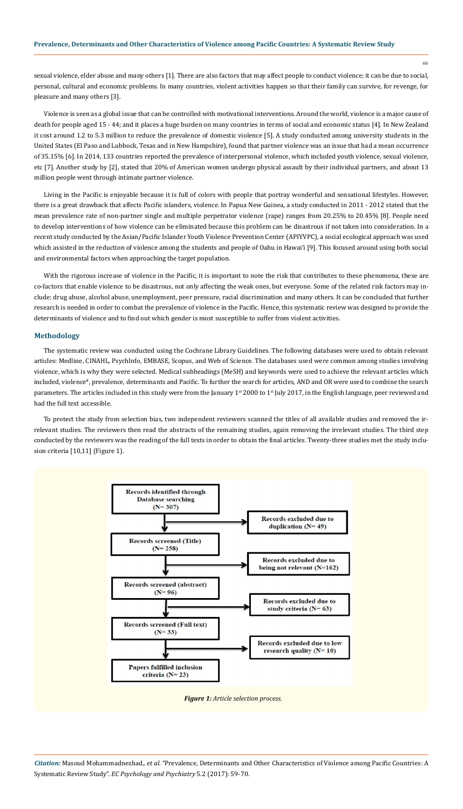sexual violence, elder abuse and many others [1]. There are also factors that may affect people to conduct violence; it can be due to social, personal, cultural and economic problems. In many countries, violent activities happen so that their family can survive, for revenge, for pleasure and many others [3].

Violence is seen as a global issue that can be controlled with motivational interventions. Around the world, violence is a major cause of death for people aged 15 - 44; and it places a huge burden on many countries in terms of social and economic status [4]. In New Zealand it cost around 1.2 to 5.3 million to reduce the prevalence of domestic violence [5]. A study conducted among university students in the United States (El Paso and Lubbock, Texas and in New Hampshire), found that partner violence was an issue that had a mean occurrence of 35.15% [6]. In 2014, 133 countries reported the prevalence of interpersonal violence, which included youth violence, sexual violence, etc [7]. Another study by [2], stated that 20% of American women undergo physical assault by their individual partners, and about 13 million people went through intimate partner violence.

Living in the Pacific is enjoyable because it is full of colors with people that portray wonderful and sensational lifestyles. However, there is a great drawback that affects Pacific islanders, violence. In Papua New Guinea, a study conducted in 2011 - 2012 stated that the mean prevalence rate of non-partner single and multiple perpetrator violence (rape) ranges from 20.25% to 20.45% [8]. People need to develop interventions of how violence can be eliminated because this problem can be disastrous if not taken into consideration. In a recent study conducted by the Asian/Pacific Islander Youth Violence Prevention Center (APIYVPC), a social ecological approach was used which assisted in the reduction of violence among the students and people of Oahu in Hawai'i [9]. This focused around using both social and environmental factors when approaching the target population.

With the rigorous increase of violence in the Pacific, it is important to note the risk that contributes to these phenomena, these are co-factors that enable violence to be disastrous, not only affecting the weak ones, but everyone. Some of the related risk factors may include: drug abuse, alcohol abuse, unemployment, peer pressure, racial discrimination and many others. It can be concluded that further research is needed in order to combat the prevalence of violence in the Pacific. Hence, this systematic review was designed to provide the determinants of violence and to find out which gender is most susceptible to suffer from violent activities.

# **Methodology**

The systematic review was conducted using the Cochrane Library Guidelines. The following databases were used to obtain relevant articles: Medline, CINAHL, PsychInfo, EMBASE, Scopus, and Web of Science. The databases used were common among studies involving violence, which is why they were selected. Medical subheadings (MeSH) and keywords were used to achieve the relevant articles which included, violence\*, prevalence, determinants and Pacific. To further the search for articles, AND and OR were used to combine the search parameters. The articles included in this study were from the January 1st 2000 to 1st July 2017, in the English language, peer reviewed and had the full text accessible.

To protect the study from selection bias, two independent reviewers scanned the titles of all available studies and removed the irrelevant studies. The reviewers then read the abstracts of the remaining studies, again removing the irrelevant studies. The third step conducted by the reviewers was the reading of the full texts in order to obtain the final articles. Twenty-three studies met the study inclusion criteria [10,11] (Figure 1).



*Figure 1: Article selection process.*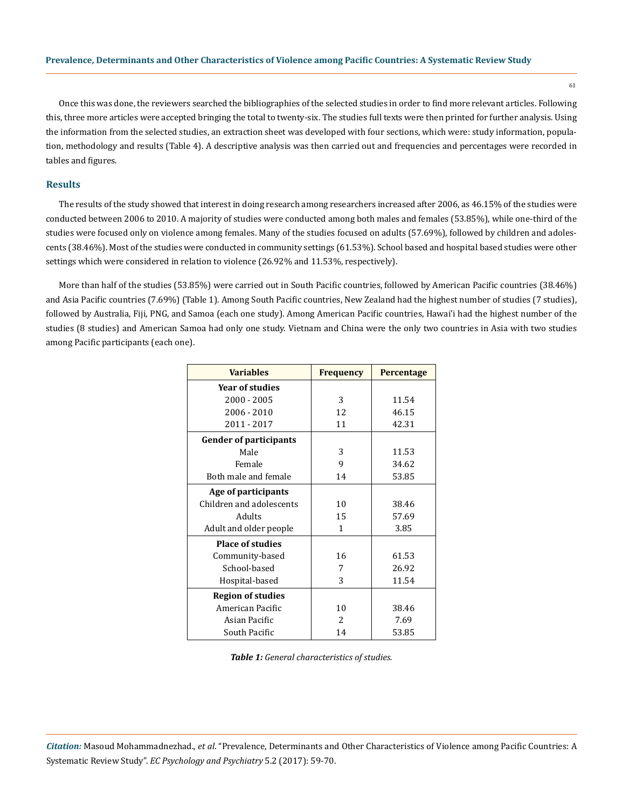Once this was done, the reviewers searched the bibliographies of the selected studies in order to find more relevant articles. Following this, three more articles were accepted bringing the total to twenty-six. The studies full texts were then printed for further analysis. Using the information from the selected studies, an extraction sheet was developed with four sections, which were: study information, population, methodology and results (Table 4). A descriptive analysis was then carried out and frequencies and percentages were recorded in tables and figures.

# **Results**

The results of the study showed that interest in doing research among researchers increased after 2006, as 46.15% of the studies were conducted between 2006 to 2010. A majority of studies were conducted among both males and females (53.85%), while one-third of the studies were focused only on violence among females. Many of the studies focused on adults (57.69%), followed by children and adolescents (38.46%). Most of the studies were conducted in community settings (61.53%). School based and hospital based studies were other settings which were considered in relation to violence (26.92% and 11.53%, respectively).

More than half of the studies (53.85%) were carried out in South Pacific countries, followed by American Pacific countries (38.46%) and Asia Pacific countries (7.69%) (Table 1). Among South Pacific countries, New Zealand had the highest number of studies (7 studies), followed by Australia, Fiji, PNG, and Samoa (each one study). Among American Pacific countries, Hawai'i had the highest number of the studies (8 studies) and American Samoa had only one study. Vietnam and China were the only two countries in Asia with two studies among Pacific participants (each one).

| <b>Variables</b>              | <b>Frequency</b> | Percentage |
|-------------------------------|------------------|------------|
| <b>Year of studies</b>        |                  |            |
| 2000 - 2005                   | 3                | 11.54      |
| 2006 - 2010                   | 12               | 46.15      |
| 2011 - 2017                   | 11               | 42.31      |
| <b>Gender of participants</b> |                  |            |
| Male                          | 3                | 11.53      |
| Female                        | 9                | 34.62      |
| Both male and female          | 14               | 53.85      |
| Age of participants           |                  |            |
| Children and adolescents      | 10               | 38.46      |
| Adults                        | 15               | 57.69      |
| Adult and older people        | 1                | 3.85       |
| <b>Place of studies</b>       |                  |            |
| Community-based               | 16               | 61.53      |
| School-based                  | 7                | 26.92      |
| Hospital-based                | 3                | 11.54      |
| <b>Region of studies</b>      |                  |            |
| American Pacific              | 10               | 38.46      |
| Asian Pacific                 | $\mathcal{L}$    | 7.69       |
| South Pacific                 | 14               | 53.85      |

*Table 1: General characteristics of studies.*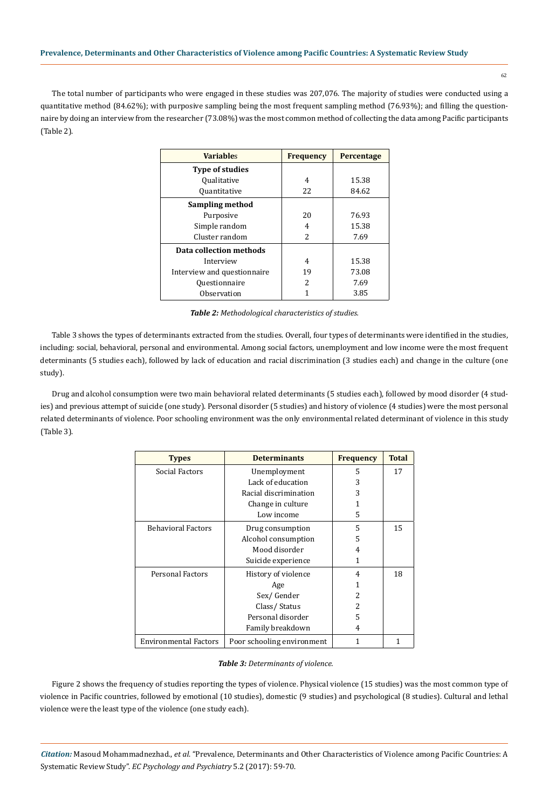The total number of participants who were engaged in these studies was 207,076. The majority of studies were conducted using a quantitative method (84.62%); with purposive sampling being the most frequent sampling method (76.93%); and filling the questionnaire by doing an interview from the researcher (73.08%) was the most common method of collecting the data among Pacific participants (Table 2).

| <b>Variables</b>            | <b>Frequency</b> | <b>Percentage</b> |
|-----------------------------|------------------|-------------------|
| <b>Type of studies</b>      |                  |                   |
| <i><b>Oualitative</b></i>   | 4                | 15.38             |
| <i><b>Ouantitative</b></i>  | 22               | 84.62             |
| Sampling method             |                  |                   |
| Purposive                   | 20               | 76.93             |
| Simple random               | 4                | 15.38             |
| Cluster random              | $\mathcal{L}$    | 7.69              |
| Data collection methods     |                  |                   |
| Interview                   | 4                | 15.38             |
| Interview and questionnaire | 19               | 73.08             |
| Ouestionnaire               | 2                | 7.69              |
| Observation                 |                  | 3.85              |

*Table 2: Methodological characteristics of studies.*

Table 3 shows the types of determinants extracted from the studies. Overall, four types of determinants were identified in the studies, including: social, behavioral, personal and environmental. Among social factors, unemployment and low income were the most frequent determinants (5 studies each), followed by lack of education and racial discrimination (3 studies each) and change in the culture (one study).

Drug and alcohol consumption were two main behavioral related determinants (5 studies each), followed by mood disorder (4 studies) and previous attempt of suicide (one study). Personal disorder (5 studies) and history of violence (4 studies) were the most personal related determinants of violence. Poor schooling environment was the only environmental related determinant of violence in this study (Table 3).

| <b>Types</b>                 | <b>Determinants</b>        | <b>Frequency</b> | <b>Total</b> |
|------------------------------|----------------------------|------------------|--------------|
| Social Factors               | Unemployment               | 5                | 17           |
|                              | Lack of education          | 3                |              |
|                              | Racial discrimination      | 3                |              |
|                              | Change in culture          |                  |              |
|                              | Low income                 | 5                |              |
| <b>Behavioral Factors</b>    | Drug consumption           | 5                | 15           |
|                              | Alcohol consumption        | 5                |              |
|                              | Mood disorder              | 4                |              |
|                              | Suicide experience         | 1                |              |
| Personal Factors             | History of violence        | 4                | 18           |
|                              | Age                        |                  |              |
|                              | Sex/Gender                 | 2                |              |
|                              | Class/Status               | 2                |              |
|                              | Personal disorder          | 5                |              |
|                              | Family breakdown           | 4                |              |
| <b>Environmental Factors</b> | Poor schooling environment | 1                | 1            |

# *Table 3: Determinants of violence.*

Figure 2 shows the frequency of studies reporting the types of violence. Physical violence (15 studies) was the most common type of violence in Pacific countries, followed by emotional (10 studies), domestic (9 studies) and psychological (8 studies). Cultural and lethal violence were the least type of the violence (one study each).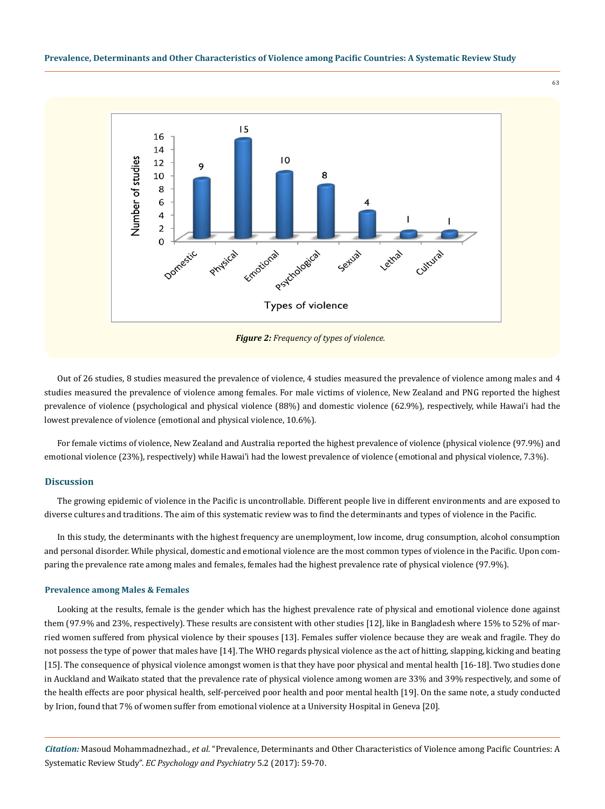

Out of 26 studies, 8 studies measured the prevalence of violence, 4 studies measured the prevalence of violence among males and 4 studies measured the prevalence of violence among females. For male victims of violence, New Zealand and PNG reported the highest prevalence of violence (psychological and physical violence (88%) and domestic violence (62.9%), respectively, while Hawai'i had the lowest prevalence of violence (emotional and physical violence, 10.6%).

For female victims of violence, New Zealand and Australia reported the highest prevalence of violence (physical violence (97.9%) and emotional violence (23%), respectively) while Hawai'i had the lowest prevalence of violence (emotional and physical violence, 7.3%).

# **Discussion**

The growing epidemic of violence in the Pacific is uncontrollable. Different people live in different environments and are exposed to diverse cultures and traditions. The aim of this systematic review was to find the determinants and types of violence in the Pacific.

In this study, the determinants with the highest frequency are unemployment, low income, drug consumption, alcohol consumption and personal disorder. While physical, domestic and emotional violence are the most common types of violence in the Pacific. Upon comparing the prevalence rate among males and females, females had the highest prevalence rate of physical violence (97.9%).

#### **Prevalence among Males & Females**

Looking at the results, female is the gender which has the highest prevalence rate of physical and emotional violence done against them (97.9% and 23%, respectively). These results are consistent with other studies [12], like in Bangladesh where 15% to 52% of married women suffered from physical violence by their spouses [13]. Females suffer violence because they are weak and fragile. They do not possess the type of power that males have [14]. The WHO regards physical violence as the act of hitting, slapping, kicking and beating [15]. The consequence of physical violence amongst women is that they have poor physical and mental health [16-18]. Two studies done in Auckland and Waikato stated that the prevalence rate of physical violence among women are 33% and 39% respectively, and some of the health effects are poor physical health, self-perceived poor health and poor mental health [19]. On the same note, a study conducted by Irion, found that 7% of women suffer from emotional violence at a University Hospital in Geneva [20].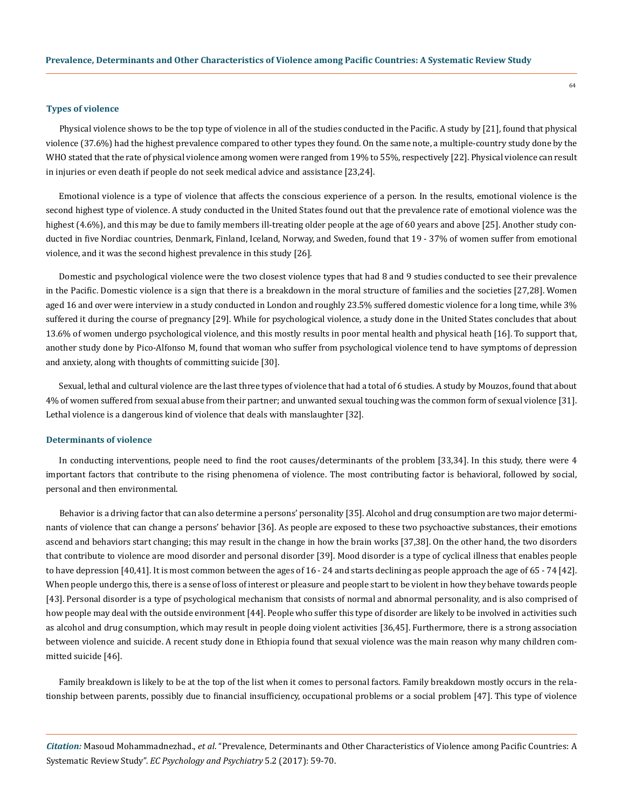## **Types of violence**

Physical violence shows to be the top type of violence in all of the studies conducted in the Pacific. A study by [21], found that physical violence (37.6%) had the highest prevalence compared to other types they found. On the same note, a multiple-country study done by the WHO stated that the rate of physical violence among women were ranged from 19% to 55%, respectively [22]. Physical violence can result in injuries or even death if people do not seek medical advice and assistance [23,24].

Emotional violence is a type of violence that affects the conscious experience of a person. In the results, emotional violence is the second highest type of violence. A study conducted in the United States found out that the prevalence rate of emotional violence was the highest (4.6%), and this may be due to family members ill-treating older people at the age of 60 years and above [25]. Another study conducted in five Nordiac countries, Denmark, Finland, Iceland, Norway, and Sweden, found that 19 - 37% of women suffer from emotional violence, and it was the second highest prevalence in this study [26].

Domestic and psychological violence were the two closest violence types that had 8 and 9 studies conducted to see their prevalence in the Pacific. Domestic violence is a sign that there is a breakdown in the moral structure of families and the societies [27,28]. Women aged 16 and over were interview in a study conducted in London and roughly 23.5% suffered domestic violence for a long time, while 3% suffered it during the course of pregnancy [29]. While for psychological violence, a study done in the United States concludes that about 13.6% of women undergo psychological violence, and this mostly results in poor mental health and physical heath [16]. To support that, another study done by Pico-Alfonso M, found that woman who suffer from psychological violence tend to have symptoms of depression and anxiety, along with thoughts of committing suicide [30].

Sexual, lethal and cultural violence are the last three types of violence that had a total of 6 studies. A study by Mouzos, found that about 4% of women suffered from sexual abuse from their partner; and unwanted sexual touching was the common form of sexual violence [31]. Lethal violence is a dangerous kind of violence that deals with manslaughter [32].

## **Determinants of violence**

In conducting interventions, people need to find the root causes/determinants of the problem [33,34]. In this study, there were 4 important factors that contribute to the rising phenomena of violence. The most contributing factor is behavioral, followed by social, personal and then environmental.

Behavior is a driving factor that can also determine a persons' personality [35]. Alcohol and drug consumption are two major determinants of violence that can change a persons' behavior [36]. As people are exposed to these two psychoactive substances, their emotions ascend and behaviors start changing; this may result in the change in how the brain works [37,38]. On the other hand, the two disorders that contribute to violence are mood disorder and personal disorder [39]. Mood disorder is a type of cyclical illness that enables people to have depression [40,41]. It is most common between the ages of 16 - 24 and starts declining as people approach the age of 65 - 74 [42]. When people undergo this, there is a sense of loss of interest or pleasure and people start to be violent in how they behave towards people [43]. Personal disorder is a type of psychological mechanism that consists of normal and abnormal personality, and is also comprised of how people may deal with the outside environment [44]. People who suffer this type of disorder are likely to be involved in activities such as alcohol and drug consumption, which may result in people doing violent activities [36,45]. Furthermore, there is a strong association between violence and suicide. A recent study done in Ethiopia found that sexual violence was the main reason why many children committed suicide [46].

Family breakdown is likely to be at the top of the list when it comes to personal factors. Family breakdown mostly occurs in the relationship between parents, possibly due to financial insufficiency, occupational problems or a social problem [47]. This type of violence

*Citation:* Masoud Mohammadnezhad., *et al*. "Prevalence, Determinants and Other Characteristics of Violence among Pacific Countries: A Systematic Review Study". *EC Psychology and Psychiatry* 5.2 (2017): 59-70.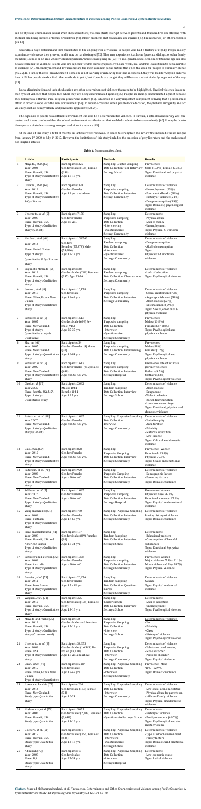*Citation:* Masoud Mohammadnezhad., *et al*. "Prevalence, Determinants and Other Characteristics of Violence among Pacific Countries: A Systematic Review Study". *EC Psychology and Psychiatry* 5.2 (2017): 59-70.

can be physical, emotional or sexual. With these conditions, violence starts to erupt between parents and thus children are affected, with the final end being divorce or family breakdown [48]. Major problems that could arise are injuries (e.g. brain injuries) or other accidents [49,50].

Secondly, a huge determinant that contributes to the ongoing risk of violence is people who had a history of it [51]. People mostly experience violence as they grow up and it may be hard to forget [52]. They may experience it at home (parents, siblings, or other family members), school or an area where violent arguments/activities are going on [53]. To add, gender, socio-economic status and age can also be a determinant of violence. People who are superior tend to outweigh people who are weak/frail and this leaves them to be vulnerable to violence [54]. Unemployment and low income are the most common social factors that open the door for people to commit violence [46,55]. In a family there is breadwinner, if someone is not working or achieving less than is expected, they will look for ways in order to have it. Either people steal or find other methods to get it, but if people are caught they will behave and act violently to get out of the way [53].

Racial discrimination and lack of education are other determinants of violence that need to be highlighted. Physical violence is a common type of violence that people face when they are being discriminated against [55]. People are mainly discriminated against because they belong to a different; race, religion, gender and culture [56]. Education is a very important component of living that a person must attain in order to cope with the new environment [57]. In recent occasions, when people lack education, they behave arrogantly and act violently, such as being verbally and physically aggressive [58,59].

The exposure of people to a different environment can also be a determinant for violence. In Hawai'i, a school based survey was conducted and it was concluded that the school environment was the factor that enabled students to behave violently [60]. It may be due to the exposure of students among arrogant and violent students [61].

At the end of this study a total of twenty-six articles were reviewed. In order to strengthen the review the included studies ranged from January 1<sup>st</sup> 2000 to July 1<sup>st</sup> 2017. However, the limitations of this study included the omission of grey literature and the exclusion of non-English articles.

|                | <b>Article</b>                                                                           | <b>Participants</b>                                                 | <b>Methods</b>                                                                       | <b>Results</b>                                                                                                                    |
|----------------|------------------------------------------------------------------------------------------|---------------------------------------------------------------------|--------------------------------------------------------------------------------------|-----------------------------------------------------------------------------------------------------------------------------------|
| $\mathbf{1}$   | Mayeda., et al. [62]<br>Year: 2006                                                       | Participants: 326<br>Gender: Males (136) Female                     | Sampling: Cluster Sampling<br>Data Collection Tool: Interview                        | Prevalence:<br>Male (10.6%) Female (7.3%)                                                                                         |
|                | Place: Hawai'i, USA<br>Type of study: Quantitative                                       | (190)<br>Age: 16-18 yrs.                                            | Setting: School                                                                      | Type: Emotional and physical<br>violence                                                                                          |
|                | study                                                                                    |                                                                     |                                                                                      |                                                                                                                                   |
| 2              | Crowne., et al. [63]<br>Year: 2012                                                       | Participants: 378<br>Gender: Females                                | Sampling:<br>Purposive sampling                                                      | Determinants of violence:<br>-Unemployment (25%)                                                                                  |
|                | Place: Hawai'i, USA<br>Type of study: Quantitative<br>& Qualitative                      | Age: 19 yrs. and above.                                             | Data Collection: Interview<br>Setting: Community                                     | -Poor mental health (39%)<br>-History of violence (54%)<br>-Drug consumption (39%)<br>Type: Domestic, psychological               |
|                |                                                                                          |                                                                     |                                                                                      | violence                                                                                                                          |
| 3              | Umemoto., et al. [9]<br>Year: 2009<br>Place: Hawai'i, USA<br>Type of study: Qualitative  | Participant: 7,158<br>Gender: Females<br>Age: 28 yrs.               | Sampling:<br>Purposive sampling<br>Data Collection:<br>-Interviewing                 | Determinants:<br>-Physical abuse<br>-Lack of money<br>-Unemployment                                                               |
|                | study (Cohort)                                                                           |                                                                     | -Questionnaires<br>Setting: Community                                                | Type: Physical & Domestic<br>violence                                                                                             |
| $\overline{4}$ | Harford., et al. [64]<br>Year: 2016                                                      | Participant: 108,560<br>Gender:                                     | Sampling:<br>Random sampling                                                         | Determinants of violence:<br>-Drug consumption                                                                                    |
|                | <b>Place: United States</b>                                                              | Females (55,474) Male<br>(53,086)                                   | Data Collection:<br>-Interview                                                       | -Alcohol consumption<br>Type:                                                                                                     |
|                | Type of study:<br>Quantitative & Qualitative                                             | Age: 12-17 yrs.                                                     | -Questionnaires<br>Settings: Community                                               | Physical and emotional<br>violence                                                                                                |
|                | study                                                                                    |                                                                     |                                                                                      |                                                                                                                                   |
| 5              | Sugimoto-Matsuda [65]<br>Year: 2012<br>Place: Hawai'i, USA<br>Type of study: Qualitative | Participants:586<br>Gender: Males (289) Females<br>(297) Age: 13-16 | Sampling:<br>Random sampling<br>Data Collection: Observations<br>Settings: Community | Determinants of violence:<br>-Lack of education<br>Type: Psychological violence                                                   |
| 6              | study<br>Jewkes., et al. [8]                                                             | Participant: 10,178                                                 | Sampling:                                                                            | Determinants of violence                                                                                                          |
|                | Year: 2013<br>Place: China, Papua New<br>Guinea<br>Type of study: Qualitative<br>study   | Gender: Male<br>Age: 18-49 yrs.                                     | Purposive sampling<br>Data Collection: Interview<br><b>Settings Community</b>        | -Sexual entitlement (73%)<br>-Anger/punishment (38%)<br>-Alcohol abuse (27%)<br>-Entertainment (59%)<br>Type: Sexual, emotional & |
| 7              | Schluter., et al. [5]                                                                    | Participant: 1,613                                                  | Sampling:                                                                            | physical violence<br>Prevalence:                                                                                                  |
|                | Year: 2007<br>Place: New Zealand                                                         | Gender: Male (698) Fe-<br>male(915)                                 | Purposive sampling<br>Data Collection:                                               | Males (11-8%)<br>Females (37-28%)                                                                                                 |
|                | Type of study:<br>Quantitative study &                                                   | Age: 25-35 yrs.                                                     | -Interview<br>-Questionnaire                                                         | Type: Psychological and<br>physical violence                                                                                      |
|                | Qualitative                                                                              |                                                                     | Settings: Community                                                                  |                                                                                                                                   |
| 8              | Sharma <sup>[66]</sup><br>Year: 2005                                                     | Participants: 34<br>Gender: Females (4) Males                       | Sampling:<br>Purposive sampling                                                      | Prevalence:<br>Males (88%)                                                                                                        |
|                | Place: New Zealand<br>Type of study: Quantitative                                        | (30)<br>Age: 16-84 yrs.                                             | Data Collection: Interviewing<br>Settings: Community                                 | Females (12%)<br>Type: Psychological and                                                                                          |
| 9              | study<br>Schluter., et al. [5]                                                           | Participant: 1,613                                                  | Sampling:                                                                            | physical violence<br>Prevalence rate of intimate                                                                                  |
|                | Year: 2007<br>Place: New Zealand                                                         | Gender: Females (915) Males<br>(698)                                | Purposive sampling<br>Data Collection: Interview                                     | partner violence:<br>Fathers (9.5%)                                                                                               |
|                | Type of study: Quantitative<br>study                                                     | Age: <25 to >35 yrs.                                                | Settings: Hospital                                                                   | Mothers (32%)<br>Type: Psychological violence                                                                                     |
| 10             | Choi., et al. [67]                                                                       | Participant: 2,082                                                  | Sampling:                                                                            | Determinants of violence:                                                                                                         |
|                | Year:2006<br>Place: Seattle, WA, USA                                                     | Males: 1041<br>Female:1041                                          | <b>Random Sampling</b><br>Data Collection: Interview                                 | -Alcohol abuse<br>-Drug abuse                                                                                                     |
|                | Type of study:<br>Quantitative study                                                     | Age: 12.7 yrs.                                                      | Settings: School                                                                     | -Violent behavior<br>-Racial discrimination                                                                                       |
|                |                                                                                          |                                                                     |                                                                                      | -Low-income earnings<br>Type: Emotional, physical and                                                                             |
|                |                                                                                          |                                                                     |                                                                                      | domestic violence                                                                                                                 |
| 11             | Paterson., et al. [68]<br>Year:2007                                                      | Participant: 1,095<br>Gender: Females                               | Sampling: Purposive Sampling<br>Data Collection:                                     | Determinants of violence:<br>-Social inequity                                                                                     |
|                | Place: New Zealand<br>Type of study: Qualitative                                         | Age: <25 to >35 yrs.                                                | Interview<br>Settings: Community                                                     | -Acculturation<br>-Ethnicity                                                                                                      |
|                | study (Cohort)                                                                           |                                                                     |                                                                                      | -Maternal education<br>-Low Income                                                                                                |
|                |                                                                                          |                                                                     |                                                                                      | Type: Cultural and domestic<br>violence                                                                                           |
| 12             | Gao., et al. [69]                                                                        | Participant: 828                                                    | Sampling:                                                                            | Prevalence-Women                                                                                                                  |
|                | Year: 2010<br>Place: New Zealand                                                         | Gender: Females<br>Age: <25 to >35 yrs.                             | <b>Purposive Sampling</b><br>Data Collection: Interview                              | Emotional: 23.8%<br>Physical: 77.1%                                                                                               |
|                | Type of study: Quantitative<br>study                                                     |                                                                     | Settings: Community                                                                  | Type: Sexual and emotional<br>violence                                                                                            |
| 13             | Paterson., et al. [70]                                                                   | Participant: 920<br>Gender: Females                                 | Sampling:                                                                            | Determinants of violence:                                                                                                         |
|                | Year: 2008<br>Place: New Zealand                                                         | Age: <20 to >40                                                     | <b>Purposive Sampling</b><br>Data Collection: Interview                              | -Demographic factors<br>-Parenting factors<br>Type: Domestic violence                                                             |
|                | Type of study: Qualitative<br>study                                                      |                                                                     | Settings: Community                                                                  |                                                                                                                                   |
| 14             | Schluter., et al. [5]<br>Year:2007                                                       | Participant: 1,095<br>Gender: Females                               | Sampling<br>Purposive sampling                                                       | Prevalence: Women<br>Physical abuse: 97.9%                                                                                        |
|                | Place: New Zealand<br>Type of study: Qualitative                                         | Age: <20 to >40                                                     | Data Collection: Interview<br>Settings: Hospital                                     | Emotional violence: 97.8%<br>Type: Physical and emotional                                                                         |
|                | study                                                                                    |                                                                     |                                                                                      | violence                                                                                                                          |
| 15             | Vung and Krantz [51]<br>Year: 2009                                                       | Participant: 730<br>Gender: Females                                 | Sampling: Purposive Sampling<br>Data Collection: Interview                           | Determinants of violence:<br>Having history of violence                                                                           |
|                | Place: Vietnam<br>Type of study: Qualitative                                             | Age: 17-60 yrs.                                                     | Settings: Community                                                                  | Type: Domestic violence                                                                                                           |
| 16             | study<br>Fiaui and Hishinuma [71]                                                        | Participant: 187                                                    | Sampling:                                                                            | Determinants                                                                                                                      |
|                | Year: 2009<br>Place: Hawai'i, USA and                                                    | Gender: Males (89) Females<br>(98)                                  | <b>Random Sampling</b><br>Data Collection: Interview                                 | -Behavioral problem<br>-Consumption of harmful                                                                                    |
|                | American Samoa                                                                           | Age: 16-34 yrs.                                                     | Settings: School                                                                     | substances                                                                                                                        |
|                | Type of study: Qualitative<br>study                                                      |                                                                     |                                                                                      | Type: Emotional & physical<br>violence                                                                                            |
| 17             | Schluter and Paterson [72]<br>Year: 2009                                                 | Participant: 1,376<br>Gender: Females                               | Sampling:<br>Purposive sampling                                                      | Prevalence: Women<br>Major violence: 7.1%-21.1%                                                                                   |
|                | Place: Australia<br>Type of study: Qualitative                                           | Age: <20 to >40                                                     | Data Collection: Interview<br>Settings: Community                                    | Minor violence: 6.1%-18.7%<br>Type: Physical violence                                                                             |
| 18             | study<br>Devries., et al. [73]                                                           | Participant: 20,976                                                 | Sampling:                                                                            | Determinants of violence:                                                                                                         |
|                | Year: 2011<br>Place: Peru, Samoa                                                         | Gender: Females<br>Age: 15 - 49 yrs.                                | <b>Random Sampling</b><br>Data Collection: Question-                                 | Suicide<br>Type: Physical and sexual                                                                                              |
|                | Type of study: Qualitative                                                               |                                                                     | naires                                                                               | violence                                                                                                                          |
| 19             | study<br>Wegner., et al. [74]                                                            | Participant: 325                                                    | Settings: Community<br>Sampling:                                                     | Determinants:                                                                                                                     |
|                | Year: 2010<br>Place: Hawai'i, USA                                                        | Gender: Males (136) Females<br>(189)                                | Cluster sample<br>Data Collection: Interview                                         | -Lack of education<br>-Unemployment                                                                                               |
|                | Type of study: Quantitative<br>study                                                     | Age: 13-16 yrs.                                                     | Settings: School                                                                     | Type: Psychological violence                                                                                                      |
| 20             | Mayeda and Pasko [75]                                                                    | Participant: 34                                                     | Sampling:<br><b>Purposive Sampling</b>                                               | Determinants of violence:<br>-Sex                                                                                                 |
|                | Year: 2012                                                                               |                                                                     |                                                                                      |                                                                                                                                   |
|                | Place: Hawai'i, USA                                                                      | Gender: Males and Females-<br>Age: 15-18 yrs.                       | Data Collection:                                                                     | -Ethnicity                                                                                                                        |
| 21             | Type of study: Qualitative<br>study (Cross-sectional)                                    |                                                                     | -Interview<br>Settings: School                                                       | -Class<br>-History of violence                                                                                                    |
|                | Umemoto., et al. [9]                                                                     | Participant: 34,653                                                 | Sampling:                                                                            | Type: Psychological violence<br>Determinants of violence:                                                                         |
|                | Year: 2009<br>Place: USA                                                                 | Gender: Males (16,543) Fe-<br>males (18,110)                        | <b>Purposive Sampling</b><br>Data Collection:                                        | -Substance use disorder,<br>-Mood disorder                                                                                        |
|                | Type of study: Qualitative                                                               | Age: 18 yrs. and above                                              | -Interview                                                                           | -Personal disorder                                                                                                                |
| 22             | study<br>Chan., et al. [76]                                                              | Participants: 6,184                                                 | Settings: Community<br>Sampling: Purposive Sampling                                  | Type: Physical violence<br>Prevalence-Male                                                                                        |
|                | Year: 2017<br>Place: China, Papua New                                                    | Gender: Males<br>Age: 18-49 yrs.                                    | Data Collection:<br>-Interview                                                       | 40% - 62.9%<br>Type: Domestic violence                                                                                            |
|                | Guinea<br>Type of study: Quantitative                                                    |                                                                     | Settings: Community                                                                  |                                                                                                                                   |
| 23             | Ioane and Lambie [77]<br>Year: 2016                                                      | Participants: 200                                                   | Sampling: Purposive Sampling<br>Data Collection:                                     | Determinants of violence:<br>-Low socio-economic status                                                                           |
|                | Place: New Zealand                                                                       | Gender: Male (168) Female<br>(32)                                   | -Interview                                                                           | -Physical abuse by parents on                                                                                                     |
|                | Study type: Qualitative<br>study                                                         | Age: 10-24                                                          | Settings: Community                                                                  | children-Family violence<br>Type: Physical and domestic                                                                           |
| 24             | Hishinuma., et al. [78]                                                                  | Participant: 5,051                                                  | Sampling: Purposive Sampling                                                         | violence<br>Determinants:                                                                                                         |
|                | Year: 2005<br>Place: Hawai'i, USA                                                        | Gender: Males (2,403) Females<br>(2,648)                            | Data Collection:                                                                     | -History of violence<br>-Family members (6.97%)                                                                                   |
|                | Study type: Qualitative                                                                  | Age: 13-16 yrs.                                                     | -QuestionnaireSettings: School                                                       | Type: Psychological and do-                                                                                                       |
| 25             | Goebert., et al. [60]                                                                    | Participants: 881                                                   | Sampling: Purposive Sampling                                                         | mestic violence<br>Determinants of violence:                                                                                      |
|                | Year: 2012<br>Place: Hawai'i, USA                                                        | Gender: Males (356) Females<br>(525)                                | Data Collection:<br>-Interviews                                                      | -Type of school environment<br>-Family factors                                                                                    |
|                | Study type: Qualitative<br>study                                                         | Age: 13-16 yrs.                                                     | -Questionnaires<br>Settings: School                                                  | Type: Domestic and emotional<br>violence                                                                                          |
| 26             | Adinkrah [79]                                                                            | Participants: 13                                                    | Sampling: Purposive Sampling                                                         | Determinants:                                                                                                                     |
|                | Year: 2003<br>Place: Fiji<br>Study type: Qualitative                                     | Gender: Males<br>Age: 27-34 yrs.                                    | Data Collection:<br>-Interview<br>Settings: Hospital                                 | -Low economic status<br>Type: Lethal violence                                                                                     |

#### *Table 4: Data extraction sheet.*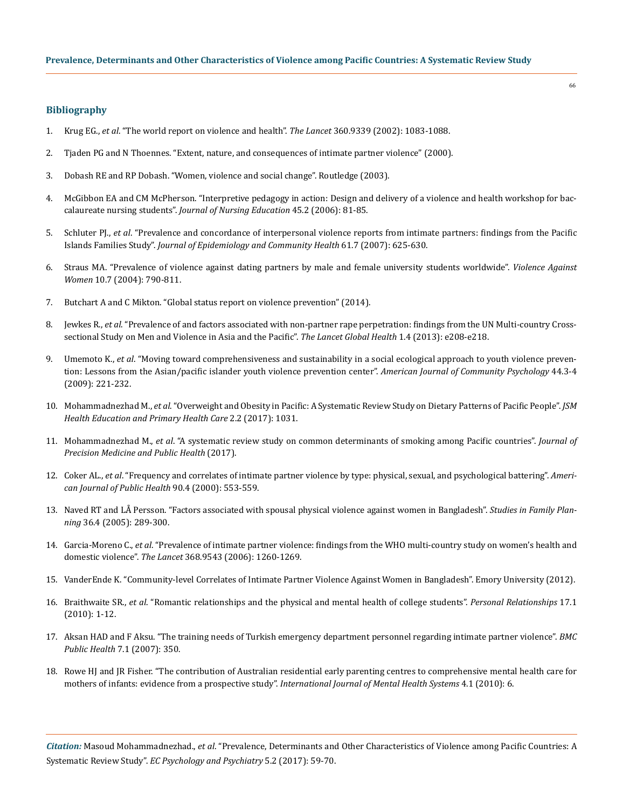# **Bibliography**

- 1. Krug EG., *et al*[. "The world report on violence and health".](https://www.ncbi.nlm.nih.gov/pubmed/12384003) *The Lancet* 360.9339 (2002): 1083-1088.
- 2. [Tjaden PG and N Thoennes. "Extent, nature, and consequences of intimate partner violence" \(2000\).](https://www.ncjrs.gov/pdffiles1/nij/181867.pdf)
- 3. Dobash RE and RP Dobash. "Women, violence and social change". Routledge (2003).
- 4. [McGibbon EA and CM McPherson. "Interpretive pedagogy in action: Design and delivery of a violence and health workshop for bac](https://www.ncbi.nlm.nih.gov/pubmed/16496862)calaureate nursing students". *[Journal of Nursing Education](https://www.ncbi.nlm.nih.gov/pubmed/16496862)* 45.2 (2006): 81-85.
- 5. Schluter PJ., *et al*[. "Prevalence and concordance of interpersonal violence reports from intimate partners: findings from the Pacific](https://www.ncbi.nlm.nih.gov/pubmed/17568056) Islands Families Study". *[Journal of Epidemiology and Community Health](https://www.ncbi.nlm.nih.gov/pubmed/17568056)* 61.7 (2007): 625-630.
- 6. [Straus MA. "Prevalence of violence against dating partners by male and female university students worldwide".](http://journals.sagepub.com/doi/abs/10.1177/1077801204265552) *Violence Against Women* [10.7 \(2004\): 790-811.](http://journals.sagepub.com/doi/abs/10.1177/1077801204265552)
- 7. Butchart A and C Mikton. "Global status report on violence prevention" (2014).
- 8. Jewkes R., *et al*[. "Prevalence of and factors associated with non-partner rape perpetration: findings from the UN Multi-country Cross](http://www.sciencedirect.com/science/article/pii/S2214109X1370069X)[sectional Study on Men and Violence in Asia and the Pacific".](http://www.sciencedirect.com/science/article/pii/S2214109X1370069X) *The Lancet Global Health* 1.4 (2013): e208-e218.
- 9. Umemoto K., *et al*[. "Moving toward comprehensiveness and sustainability in a social ecological approach to youth violence preven](https://www.ncbi.nlm.nih.gov/pubmed/19911267)[tion: Lessons from the Asian/pacific islander youth violence prevention center".](https://www.ncbi.nlm.nih.gov/pubmed/19911267) *American Journal of Community Psychology* 44.3-4 [\(2009\): 221-232.](https://www.ncbi.nlm.nih.gov/pubmed/19911267)
- 10. Mohammadnezhad M., *et al*[. "Overweight and Obesity in Pacific: A Systematic Review Study on Dietary Patterns of Pacific People".](https://www.jscimedcentral.com/HealthEducation/healtheducation-2-1031.pdf) *JSM [Health Education and Primary Health Care](https://www.jscimedcentral.com/HealthEducation/healtheducation-2-1031.pdf)* 2.2 (2017): 1031.
- 11. Mohammadnezhad M., *et al*[. "A systematic review study on common determinants of smoking among Pacific countries".](https://www.clytoaccess.com/sites/default/files/Journal%20of%20Precision%20Medicine%20and%20Public%20Health-6%20%281%29.pdf) *Journal of [Precision Medicine and Public Health](https://www.clytoaccess.com/sites/default/files/Journal%20of%20Precision%20Medicine%20and%20Public%20Health-6%20%281%29.pdf)* (2017).
- 12. Coker AL., *et al*[. "Frequency and correlates of intimate partner violence by type: physical, sexual, and psychological battering".](https://www.ncbi.nlm.nih.gov/pmc/articles/PMC1446198/) *Ameri[can Journal of Public Health](https://www.ncbi.nlm.nih.gov/pmc/articles/PMC1446198/)* 90.4 (2000): 553-559.
- 13. [Naved RT and LÅ Persson. "Factors associated with spousal physical violence against women in Bangladesh".](https://www.ncbi.nlm.nih.gov/pubmed/16395946) *Studies in Family Planning* [36.4 \(2005\): 289-300.](https://www.ncbi.nlm.nih.gov/pubmed/16395946)
- 14. Garcia-Moreno C., *et al*[. "Prevalence of intimate partner violence: findings from the WHO multi-country study on women's health and](https://www.ncbi.nlm.nih.gov/pubmed/17027732)  domestic violence". *The Lancet* [368.9543 \(2006\): 1260-1269.](https://www.ncbi.nlm.nih.gov/pubmed/17027732)
- 15. [VanderEnde K. "Community-level Correlates of Intimate Partner Violence Against Women in Bangladesh". Emory University \(2012\).](https://legacy-etd.library.emory.edu/view/record/pid/emory:bp73v)
- 16. Braithwaite SR., *et al*[. "Romantic relationships and the physical and mental health of college students".](http://onlinelibrary.wiley.com/doi/10.1111/j.1475-6811.2010.01248.x/full) *Personal Relationships* 17.1 [\(2010\): 1-12.](http://onlinelibrary.wiley.com/doi/10.1111/j.1475-6811.2010.01248.x/full)
- 17. [Aksan HAD and F Aksu. "The training needs of Turkish emergency department personnel regarding intimate partner violence".](https://www.ncbi.nlm.nih.gov/pmc/articles/PMC2241616/) *BMC Public Health* [7.1 \(2007\): 350.](https://www.ncbi.nlm.nih.gov/pmc/articles/PMC2241616/)
- 18. [Rowe HJ and JR Fisher. "The contribution of Australian residential early parenting centres to comprehensive mental health care for](https://www.ncbi.nlm.nih.gov/pubmed/20380739) [mothers of infants: evidence from a prospective study".](https://www.ncbi.nlm.nih.gov/pubmed/20380739) *International Journal of Mental Health Systems* 4.1 (2010): 6.

*Citation:* Masoud Mohammadnezhad., *et al*. "Prevalence, Determinants and Other Characteristics of Violence among Pacific Countries: A Systematic Review Study". *EC Psychology and Psychiatry* 5.2 (2017): 59-70.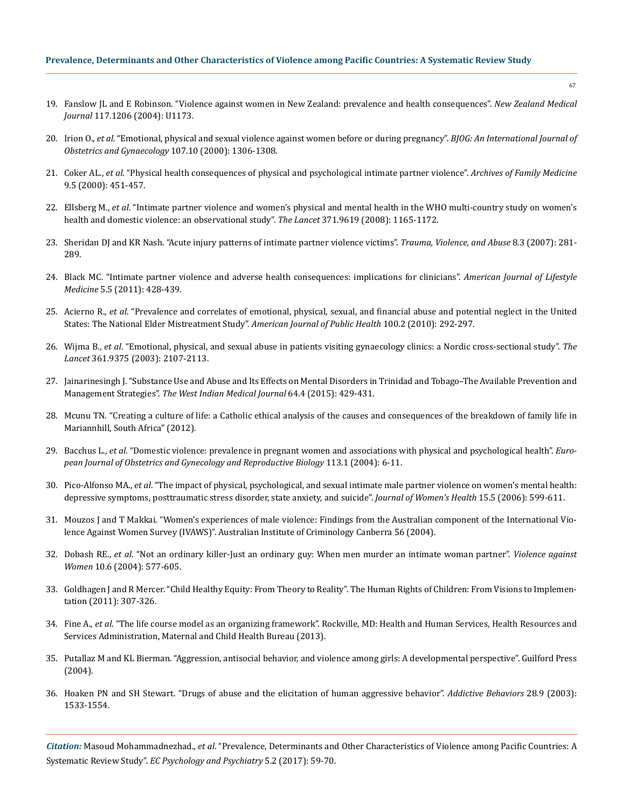- 19. [Fanslow JL and E Robinson. "Violence against women in New Zealand: prevalence and health consequences".](https://www.ncbi.nlm.nih.gov/pubmed/15570342) *New Zealand Medical Journal* [117.1206 \(2004\): U1173.](https://www.ncbi.nlm.nih.gov/pubmed/15570342)
- 20. Irion O., *et al*[. "Emotional, physical and sexual violence against women before or during pregnancy".](https://www.ncbi.nlm.nih.gov/pubmed/11028586) *BJOG: An International Journal of [Obstetrics and Gynaecology](https://www.ncbi.nlm.nih.gov/pubmed/11028586)* 107.10 (2000): 1306-1308.
- 21. Coker AL., *et al*[. "Physical health consequences of physical and psychological intimate partner violence".](https://www.ncbi.nlm.nih.gov/pubmed/10810951) *Archives of Family Medicine* [9.5 \(2000\): 451-457.](https://www.ncbi.nlm.nih.gov/pubmed/10810951)
- 22. Ellsberg M., *et al*[. "Intimate partner violence and women's physical and mental health in the WHO multi-country study on women's](https://www.ncbi.nlm.nih.gov/pubmed/18395577)  [health and domestic violence: an observational study".](https://www.ncbi.nlm.nih.gov/pubmed/18395577) *The Lancet* 371.9619 (2008): 1165-1172.
- 23. [Sheridan DJ and KR Nash. "Acute injury patterns of intimate partner violence victims".](https://www.ncbi.nlm.nih.gov/pubmed/17596345) *Trauma, Violence, and Abuse* 8.3 (2007): 281- [289.](https://www.ncbi.nlm.nih.gov/pubmed/17596345)
- 24. [Black MC. "Intimate partner violence and adverse health consequences: implications for clinicians".](http://journals.sagepub.com/doi/abs/10.1177/1559827611410265) *American Journal of Lifestyle Medicine* [5.5 \(2011\): 428-439.](http://journals.sagepub.com/doi/abs/10.1177/1559827611410265)
- 25. Acierno R., *et al*[. "Prevalence and correlates of emotional, physical, sexual, and financial abuse and potential neglect in the United](https://www.ncbi.nlm.nih.gov/pmc/articles/PMC2804623/) [States: The National Elder Mistreatment Study".](https://www.ncbi.nlm.nih.gov/pmc/articles/PMC2804623/) *American Journal of Public Health* 100.2 (2010): 292-297.
- 26. Wijma B., *et al*[. "Emotional, physical, and sexual abuse in patients visiting gynaecology clinics: a Nordic cross-sectional study".](https://www.ncbi.nlm.nih.gov/pubmed/12826432) *The Lancet* [361.9375 \(2003\): 2107-2113.](https://www.ncbi.nlm.nih.gov/pubmed/12826432)
- 27. [Jainarinesingh J. "Substance Use and Abuse and Its Effects on Mental Disorders in Trinidad and Tobago–The Available Prevention and](https://www.ncbi.nlm.nih.gov/pmc/articles/PMC4909081/)  Management Strategies". *[The West Indian Medical Journal](https://www.ncbi.nlm.nih.gov/pmc/articles/PMC4909081/)* 64.4 (2015): 429-431.
- 28. [Mcunu TN. "Creating a culture of life: a Catholic ethical analysis of the causes and consequences of the breakdown of family life in](http://uir.unisa.ac.za/handle/10500/6598) [Mariannhill, South Africa" \(2012\).](http://uir.unisa.ac.za/handle/10500/6598)
- 29. Bacchus L., *et al*[. "Domestic violence: prevalence in pregnant women and associations with physical and psychological health".](https://www.ncbi.nlm.nih.gov/pubmed/15036702) *Euro[pean Journal of Obstetrics and Gynecology and Reproductive Biology](https://www.ncbi.nlm.nih.gov/pubmed/15036702)* 113.1 (2004): 6-11.
- 30. Pico-Alfonso MA., *et al*[. "The impact of physical, psychological, and sexual intimate male partner violence on women's mental health:](https://www.ncbi.nlm.nih.gov/pubmed/16796487)  [depressive symptoms, posttraumatic stress disorder, state anxiety, and suicide".](https://www.ncbi.nlm.nih.gov/pubmed/16796487) *Journal of Women's Health* 15.5 (2006): 599-611.
- 31. [Mouzos J and T Makkai. "Women's experiences of male violence: Findings from the Australian component of the International Vio](http://www.aic.gov.au/media_library/publications/rpp/56/rpp056.pdf)[lence Against Women Survey \(IVAWS\)". Australian Institute of Criminology Canberra 56 \(2004\).](http://www.aic.gov.au/media_library/publications/rpp/56/rpp056.pdf)
- 32. Dobash RE., *et al*[. "Not an ordinary killer-Just an ordinary guy: When men murder an intimate woman partner".](http://journals.sagepub.com/doi/abs/10.1177/1077801204265015) *Violence against Women* [10.6 \(2004\): 577-605.](http://journals.sagepub.com/doi/abs/10.1177/1077801204265015)
- 33. Goldhagen J and R Mercer. "Child Healthy Equity: From Theory to Reality". The Human Rights of Children: From Visions to Implementation (2011): 307-326.
- 34. Fine A., *et al*. "The life course model as an organizing framework". Rockville, MD: Health and Human Services, Health Resources and Services Administration, Maternal and Child Health Bureau (2013).
- 35. [Putallaz M and KL Bierman. "Aggression, antisocial behavior, and violence among girls: A developmental perspective". Guilford Press](https://www.guilford.com/books/Aggression-Antisocial-Behavior-and-Violence-among-Girls/Putallaz-Bierman/9781593852320/reviews)  [\(2004\).](https://www.guilford.com/books/Aggression-Antisocial-Behavior-and-Violence-among-Girls/Putallaz-Bierman/9781593852320/reviews)
- 36. [Hoaken PN and SH Stewart. "Drugs of abuse and the elicitation of human aggressive behavior".](https://www.ncbi.nlm.nih.gov/pubmed/14656544) *Addictive Behaviors* 28.9 (2003): [1533-1554.](https://www.ncbi.nlm.nih.gov/pubmed/14656544)

*Citation:* Masoud Mohammadnezhad., *et al*. "Prevalence, Determinants and Other Characteristics of Violence among Pacific Countries: A Systematic Review Study". *EC Psychology and Psychiatry* 5.2 (2017): 59-70.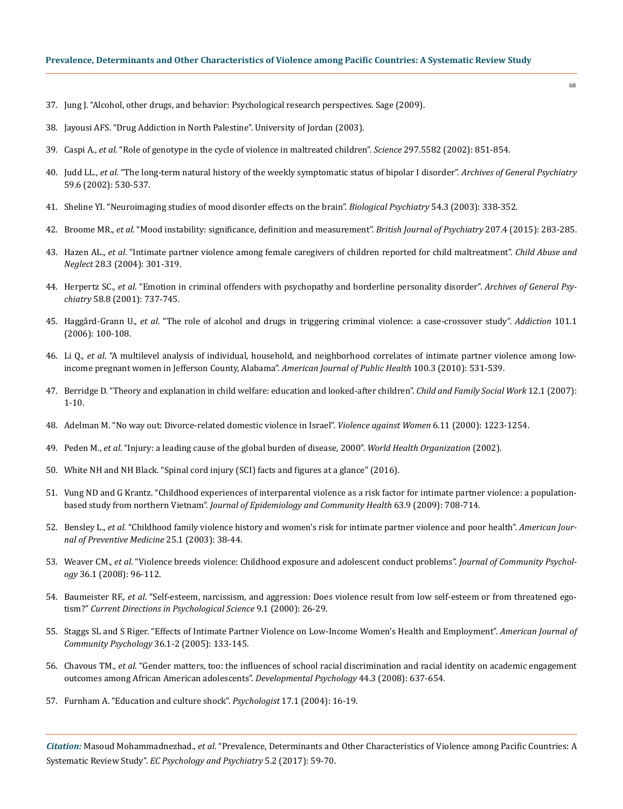- 37. [Jung J. "Alcohol, other drugs, and behavior: Psychological research perspectives. Sage \(2009\).](https://us.sagepub.com/en-us/nam/alcohol-other-drugs-and-behavior/book232812)
- 38. [Jayousi AFS. "Drug Addiction in North Palestine". University of Jordan \(2003\).](https://scholar.najah.edu/sites/default/files/all-thesis/drug_addiction_in_north_palestine.pdf)
- 39. Caspi A., *et al*[. "Role of genotype in the cycle of violence in maltreated children".](https://www.ncbi.nlm.nih.gov/pubmed/12161658) *Science* 297.5582 (2002): 851-854.
- 40. Judd LL., *et al*[. "The long-term natural history of the weekly symptomatic status of bipolar I disorder".](https://www.ncbi.nlm.nih.gov/pubmed/12044195) *Archives of General Psychiatry* [59.6 \(2002\): 530-537.](https://www.ncbi.nlm.nih.gov/pubmed/12044195)
- 41. [Sheline YI. "Neuroimaging studies of mood disorder effects on the brain".](https://www.ncbi.nlm.nih.gov/pubmed/12893109) *Biological Psychiatry* 54.3 (2003): 338-352.
- 42. Broome MR., *et al*[. "Mood instability: significance, definition and measurement".](https://www.ncbi.nlm.nih.gov/pmc/articles/PMC4589661/) *British Journal of Psychiatry* 207.4 (2015): 283-285.
- 43. Hazen AL., *et al*[. "Intimate partner violence among female caregivers of children reported for child maltreatment".](https://www.ncbi.nlm.nih.gov/pubmed/15066348) *Child Abuse and Neglect* [28.3 \(2004\): 301-319.](https://www.ncbi.nlm.nih.gov/pubmed/15066348)
- 44. Herpertz SC., *et al*[. "Emotion in criminal offenders with psychopathy and borderline personality disorder".](https://www.ncbi.nlm.nih.gov/pubmed/11483139) *Archives of General Psychiatry* [58.8 \(2001\): 737-745.](https://www.ncbi.nlm.nih.gov/pubmed/11483139)
- 45. Haggård‐Grann U., *et al*[. "The role of alcohol and drugs in triggering criminal violence: a case‐crossover study".](https://www.ncbi.nlm.nih.gov/pubmed/16393196) *Addiction* 101.1 [\(2006\): 100-108.](https://www.ncbi.nlm.nih.gov/pubmed/16393196)
- 46. Li Q., *et al*[. "A multilevel analysis of individual, household, and neighborhood correlates of intimate partner violence among low](https://www.ncbi.nlm.nih.gov/pmc/articles/PMC2820063/)[income pregnant women in Jefferson County, Alabama".](https://www.ncbi.nlm.nih.gov/pmc/articles/PMC2820063/) *American Journal of Public Health* 100.3 (2010): 531-539.
- 47. [Berridge D. "Theory and explanation in child welfare: education and looked‐after children".](http://onlinelibrary.wiley.com/doi/10.1111/j.1365-2206.2006.00446.x/abstract) *Child and Family Social Work* 12.1 (2007): [1-10.](http://onlinelibrary.wiley.com/doi/10.1111/j.1365-2206.2006.00446.x/abstract)
- 48. [Adelman M. "No way out: Divorce-related domestic violence in Israel".](http://journals.sagepub.com/doi/abs/10.1177/10778010022183613) *Violence against Women* 6.11 (2000): 1223-1254.
- 49. Peden M., *et al*[. "Injury: a leading cause of the global burden of disease, 2000".](http://apps.who.int/iris/handle/10665/42624) *World Health Organization* (2002).
- 50. [White NH and NH Black. "Spinal cord injury \(SCI\) facts and figures at a glance" \(2016\).](https://www.nscisc.uab.edu/Public/Facts%202016.pdf)
- 51. [Vung ND and G Krantz. "Childhood experiences of interparental violence as a risk factor for intimate partner violence: a population](https://www.ncbi.nlm.nih.gov/pubmed/19416931)based study from northern Vietnam". *[Journal of Epidemiology and Community Health](https://www.ncbi.nlm.nih.gov/pubmed/19416931)* 63.9 (2009): 708-714.
- 52. Bensley L., *et al*[. "Childhood family violence history and women's risk for intimate partner violence and poor health".](https://www.ncbi.nlm.nih.gov/pubmed/12818308) *American Jour[nal of Preventive Medicine](https://www.ncbi.nlm.nih.gov/pubmed/12818308)* 25.1 (2003): 38-44.
- 53. Weaver CM., *et al*[. "Violence breeds violence: Childhood exposure and adolescent conduct problems".](https://www.ncbi.nlm.nih.gov/pubmed/21720452) *Journal of Community Psychology* [36.1 \(2008\): 96-112.](https://www.ncbi.nlm.nih.gov/pubmed/21720452)
- 54. Baumeister RF., *et al*[. "Self-esteem, narcissism, and aggression: Does violence result from low self-esteem or from threatened ego](http://www-personal.umich.edu/~bbushman/bbc00.pdf)tism?" *[Current Directions in Psychological Science](http://www-personal.umich.edu/~bbushman/bbc00.pdf)* 9.1 (2000): 26-29.
- 55. [Staggs SL and S Riger. "Effects of Intimate Partner Violence on Low‐Income Women's Health and Employment".](https://www.ncbi.nlm.nih.gov/pubmed/16134050) *American Journal of [Community Psychology](https://www.ncbi.nlm.nih.gov/pubmed/16134050)* 36.1-2 (2005): 133-145.
- 56. Chavous TM., *et al*[. "Gender matters, too: the influences of school racial discrimination and racial identity on academic engagement](https://www.ncbi.nlm.nih.gov/pubmed/18473633)  [outcomes among African American adolescents".](https://www.ncbi.nlm.nih.gov/pubmed/18473633) *Developmental Psychology* 44.3 (2008): 637-654.
- 57. [Furnham A. "Education and culture shock".](https://thepsychologist.bps.org.uk/volume-17/edition-1/foreign-students-education-and-culture-shock) *Psychologist* 17.1 (2004): 16-19.

*Citation:* Masoud Mohammadnezhad., *et al*. "Prevalence, Determinants and Other Characteristics of Violence among Pacific Countries: A Systematic Review Study". *EC Psychology and Psychiatry* 5.2 (2017): 59-70.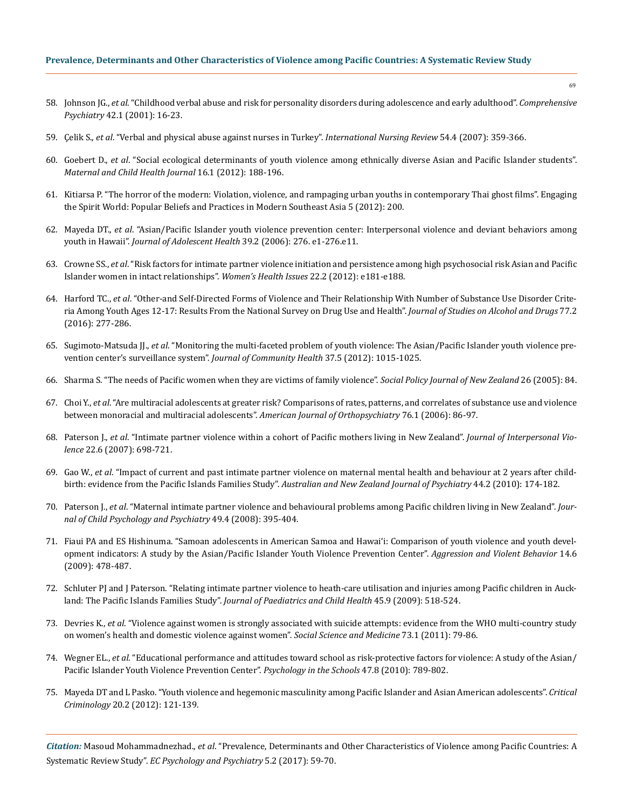- 58. Johnson JG., *et al*[. "Childhood verbal abuse and risk for personality disorders during adolescence and early adulthood".](https://www.ncbi.nlm.nih.gov/pubmed/11154711) *Comprehensive Psychiatry* [42.1 \(2001\): 16-23.](https://www.ncbi.nlm.nih.gov/pubmed/11154711)
- 59. Çelik S., *et al*[. "Verbal and physical abuse against nurses in Turkey".](https://www.ncbi.nlm.nih.gov/pubmed/17958665) *International Nursing Review* 54.4 (2007): 359-366.
- 60. Goebert D., *et al*[. "Social ecological determinants of youth violence among ethnically diverse Asian and Pacific Islander students".](https://www.ncbi.nlm.nih.gov/pubmed/21132358)  *[Maternal and Child Health Journal](https://www.ncbi.nlm.nih.gov/pubmed/21132358)* 16.1 (2012): 188-196.
- 61. [Kitiarsa P. "The horror of the modern: Violation, violence, and rampaging urban youths in contemporary Thai ghost films". Engaging](http://www.jstor.org/stable/j.ctt9qcvsv)  [the Spirit World: Popular Beliefs and Practices in Modern Southeast Asia 5 \(2012\): 200.](http://www.jstor.org/stable/j.ctt9qcvsv)
- 62. Mayeda DT., *et al*[. "Asian/Pacific Islander youth violence prevention center: Interpersonal violence and deviant behaviors among](file:///C:/Users/Designer/Desktop/ECPP-17-RA-197/2012)  youth in Hawaii". *[Journal of Adolescent Health](file:///C:/Users/Designer/Desktop/ECPP-17-RA-197/2012)* 39.2 (2006): 276. e1-276.e11.
- 63. Crowne SS., *et al*[. "Risk factors for intimate partner violence initiation and persistence among high psychosocial risk Asian and Pacific](https://www.ncbi.nlm.nih.gov/pmc/articles/PMC3261356/)  [Islander women in intact relationships".](https://www.ncbi.nlm.nih.gov/pmc/articles/PMC3261356/) *Women's Health Issues* 22.2 (2012): e181-e188.
- 64. Harford TC., *et al*[. "Other-and Self-Directed Forms of Violence and Their Relationship With Number of Substance Use Disorder Crite](https://www.ncbi.nlm.nih.gov/pubmed/26997186/)[ria Among Youth Ages 12-17: Results From the National Survey on Drug Use and Health".](https://www.ncbi.nlm.nih.gov/pubmed/26997186/) *Journal of Studies on Alcohol and Drugs* 77.2 [\(2016\): 277-286.](https://www.ncbi.nlm.nih.gov/pubmed/26997186/)
- 65. Sugimoto-Matsuda JJ., *et al*[. "Monitoring the multi-faceted problem of youth violence: The Asian/Pacific Islander youth violence pre](https://www.ncbi.nlm.nih.gov/pubmed/22231577/)[vention center's surveillance system".](https://www.ncbi.nlm.nih.gov/pubmed/22231577/) *Journal of Community Health* 37.5 (2012): 1015-1025.
- 66. [Sharma S. "The needs of Pacific women when they are victims of family violence".](https://www.msd.govt.nz/about-msd-and-our-work/publications-resources/journals-and-magazines/social-policy-journal/spj26/26-needs-of-pacific-woman-victims-of-family-violence-pages84-96.html) *Social Policy Journal of New Zealand* 26 (2005): 84.
- 67. Choi Y., *et al*[. "Are multiracial adolescents at greater risk? Comparisons of rates, patterns, and correlates of substance use and violence](https://www.ncbi.nlm.nih.gov/pubmed/16569131)  [between monoracial and multiracial adolescents".](https://www.ncbi.nlm.nih.gov/pubmed/16569131) *American Journal of Orthopsychiatry* 76.1 (2006): 86-97.
- 68. Paterson J., *et al*[. "Intimate partner violence within a cohort of Pacific mothers living in New Zealand".](https://www.ncbi.nlm.nih.gov/pubmed/17515431) *Journal of Interpersonal Violence* [22.6 \(2007\): 698-721.](https://www.ncbi.nlm.nih.gov/pubmed/17515431)
- 69. Gao W., *et al*[. "Impact of current and past intimate partner violence on maternal mental health and behaviour at 2 years after child](https://www.ncbi.nlm.nih.gov/pubmed/20113306)birth: evidence from the Pacific Islands Families Study". *[Australian and New Zealand Journal of Psychiatry](https://www.ncbi.nlm.nih.gov/pubmed/20113306)* 44.2 (2010): 174-182.
- 70. Paterson J., *et al*[. "Maternal intimate partner violence and behavioural problems among Pacific children living in New Zealand".](https://www.ncbi.nlm.nih.gov/pubmed/18221353) *Jour[nal of Child Psychology and Psychiatry](https://www.ncbi.nlm.nih.gov/pubmed/18221353)* 49.4 (2008): 395-404.
- 71. [Fiaui PA and ES Hishinuma. "Samoan adolescents in American Samoa and Hawaiʻi: Comparison of youth violence and youth devel](http://www.sciencedirect.com/science/article/pii/S1359178909000792)[opment indicators: A study by the Asian/Pacific Islander Youth Violence Prevention Center".](http://www.sciencedirect.com/science/article/pii/S1359178909000792) *Aggression and Violent Behavior* 14.6 [\(2009\): 478-487.](http://www.sciencedirect.com/science/article/pii/S1359178909000792)
- 72. [Schluter PJ and J Paterson. "Relating intimate partner violence to heath‐care utilisation and injuries among Pacific children in Auck](https://www.ncbi.nlm.nih.gov/pubmed/19702603)land: The Pacific Islands Families Study". *[Journal of Paediatrics and Child Health](https://www.ncbi.nlm.nih.gov/pubmed/19702603)* 45.9 (2009): 518-524.
- 73. Devries K., *et al*[. "Violence against women is strongly associated with suicide attempts: evidence from the WHO multi-country study](https://www.ncbi.nlm.nih.gov/pubmed/21676510)  [on women's health and domestic violence against women".](https://www.ncbi.nlm.nih.gov/pubmed/21676510) *Social Science and Medicine* 73.1 (2011): 79-86.
- 74. Wegner EL., *et al*[. "Educational performance and attitudes toward school as risk‐protective factors for violence: A study of the Asian/](http://onlinelibrary.wiley.com/doi/10.1002/pits.20504/abstract) [Pacific Islander Youth Violence Prevention Center".](http://onlinelibrary.wiley.com/doi/10.1002/pits.20504/abstract) *Psychology in the Schools* 47.8 (2010): 789-802.
- 75. [Mayeda DT and L Pasko. "Youth violence and hegemonic masculinity among Pacific Islander and Asian American adolescents".](https://link.springer.com/article/10.1007/s10612-011-9132-1) *Critical Criminology* [20.2 \(2012\): 121-139.](https://link.springer.com/article/10.1007/s10612-011-9132-1)

*Citation:* Masoud Mohammadnezhad., *et al*. "Prevalence, Determinants and Other Characteristics of Violence among Pacific Countries: A Systematic Review Study". *EC Psychology and Psychiatry* 5.2 (2017): 59-70.